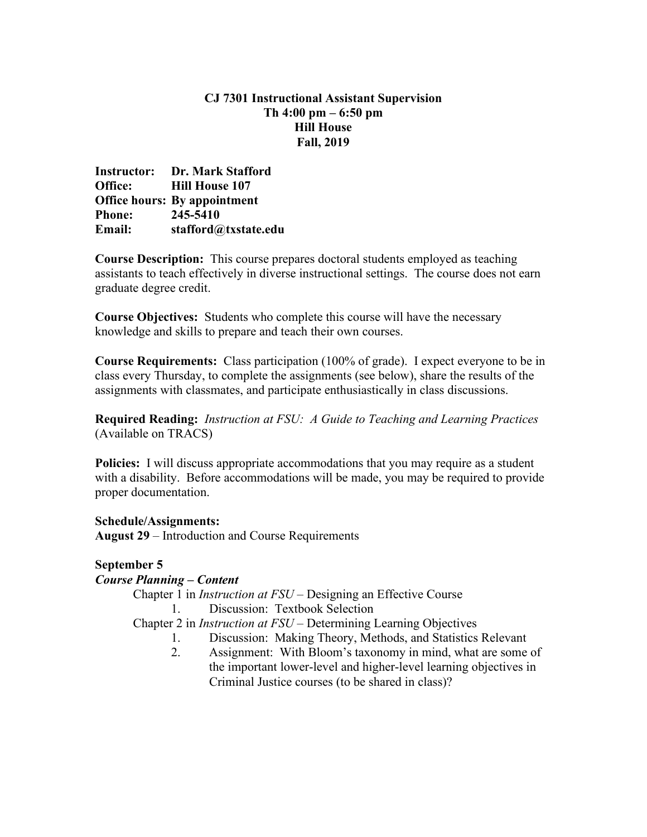## **CJ 7301 Instructional Assistant Supervision Th 4:00 pm – 6:50 pm Hill House Fall, 2019**

**Instructor: Dr. Mark Stafford Office: Hill House 107 Office hours: By appointment Phone: 245-5410 Email: [stafford@txstate.edu](mailto:stafford@txstate.edu)**

**Course Description:** This course prepares doctoral students employed as teaching assistants to teach effectively in diverse instructional settings. The course does not earn graduate degree credit.

**Course Objectives:** Students who complete this course will have the necessary knowledge and skills to prepare and teach their own courses.

**Course Requirements:** Class participation (100% of grade). I expect everyone to be in class every Thursday, to complete the assignments (see below), share the results of the assignments with classmates, and participate enthusiastically in class discussions.

**Required Reading:** *Instruction at FSU: A Guide to Teaching and Learning Practices* (Available on TRACS)

**Policies:** I will discuss appropriate accommodations that you may require as a student with a disability. Before accommodations will be made, you may be required to provide proper documentation.

**Schedule/Assignments: August 29** – Introduction and Course Requirements

# **September 5**

### *Course Planning – Content*

Chapter 1 in *Instruction at FSU* – Designing an Effective Course 1. Discussion: Textbook Selection

Chapter 2 in *Instruction at FSU* – Determining Learning Objectives

- 1. Discussion: Making Theory, Methods, and Statistics Relevant
- 2. Assignment: With Bloom's taxonomy in mind, what are some of the important lower-level and higher-level learning objectives in Criminal Justice courses (to be shared in class)?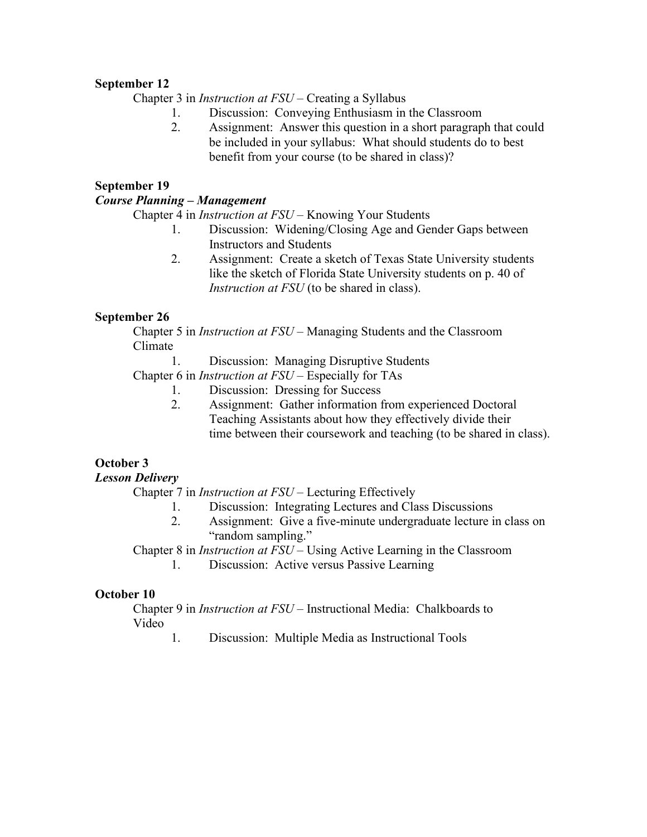## **September 12**

Chapter 3 in *Instruction at FSU* – Creating a Syllabus

- 1. Discussion: Conveying Enthusiasm in the Classroom
- 2. Assignment: Answer this question in a short paragraph that could be included in your syllabus: What should students do to best benefit from your course (to be shared in class)?

#### **September 19**

#### *Course Planning – Management*

Chapter 4 in *Instruction at FSU* – Knowing Your Students

- 1. Discussion: Widening/Closing Age and Gender Gaps between Instructors and Students
- 2. Assignment: Create a sketch of Texas State University students like the sketch of Florida State University students on p. 40 of *Instruction at FSU* (to be shared in class).

### **September 26**

Chapter 5 in *Instruction at FSU* – Managing Students and the Classroom Climate

1. Discussion: Managing Disruptive Students

Chapter 6 in *Instruction at FSU* – Especially for TAs

- 1. Discussion: Dressing for Success
- 2. Assignment: Gather information from experienced Doctoral Teaching Assistants about how they effectively divide their time between their coursework and teaching (to be shared in class).

### **October 3**

### *Lesson Delivery*

Chapter 7 in *Instruction at FSU* – Lecturing Effectively

- 1. Discussion: Integrating Lectures and Class Discussions
- 2. Assignment: Give a five-minute undergraduate lecture in class on "random sampling."

Chapter 8 in *Instruction at FSU* – Using Active Learning in the Classroom

1. Discussion: Active versus Passive Learning

### **October 10**

Chapter 9 in *Instruction at FSU* – Instructional Media: Chalkboards to Video

1. Discussion: Multiple Media as Instructional Tools